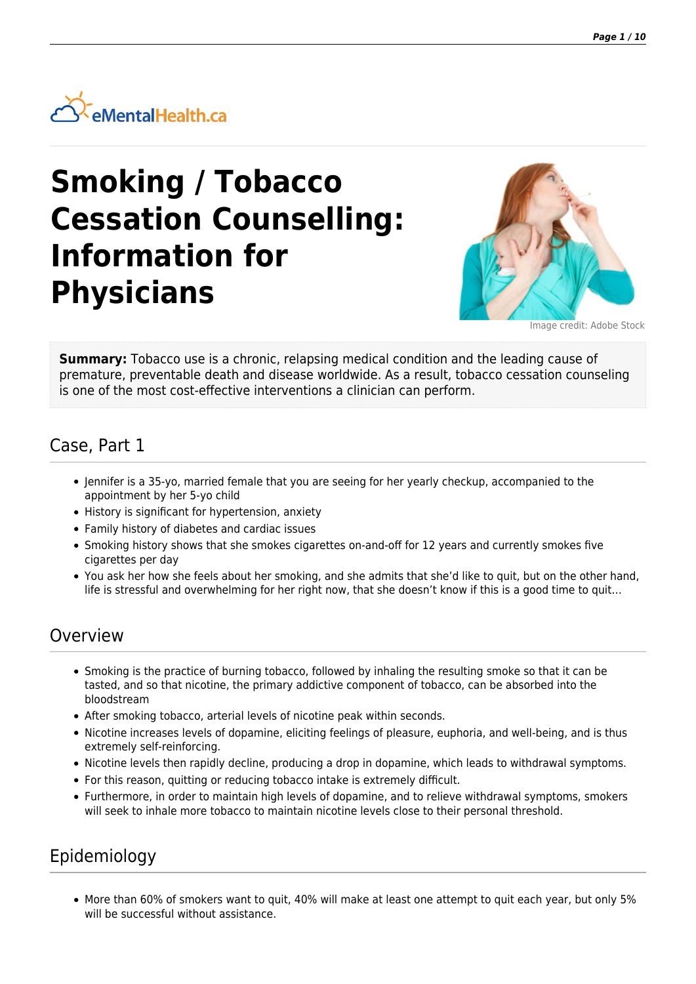

# **Smoking / Tobacco Cessation Counselling: Information for Physicians**



Image credit: Adobe Stock

**Summary:** Tobacco use is a chronic, relapsing medical condition and the leading cause of premature, preventable death and disease worldwide. As a result, tobacco cessation counseling is one of the most cost-effective interventions a clinician can perform.

# Case, Part 1

- Jennifer is a 35-yo, married female that you are seeing for her yearly checkup, accompanied to the appointment by her 5-yo child
- History is significant for hypertension, anxiety
- Family history of diabetes and cardiac issues
- Smoking history shows that she smokes cigarettes on-and-off for 12 years and currently smokes five cigarettes per day
- You ask her how she feels about her smoking, and she admits that she'd like to quit, but on the other hand, life is stressful and overwhelming for her right now, that she doesn't know if this is a good time to quit…

### Overview

- Smoking is the practice of burning tobacco, followed by inhaling the resulting smoke so that it can be tasted, and so that nicotine, the primary addictive component of tobacco, can be absorbed into the bloodstream
- After smoking tobacco, arterial levels of nicotine peak within seconds.
- Nicotine increases levels of dopamine, eliciting feelings of pleasure, euphoria, and well-being, and is thus extremely self-reinforcing.
- Nicotine levels then rapidly decline, producing a drop in dopamine, which leads to withdrawal symptoms.
- For this reason, quitting or reducing tobacco intake is extremely difficult.
- Furthermore, in order to maintain high levels of dopamine, and to relieve withdrawal symptoms, smokers will seek to inhale more tobacco to maintain nicotine levels close to their personal threshold.

# Epidemiology

More than 60% of smokers want to quit, 40% will make at least one attempt to quit each year, but only 5% will be successful without assistance.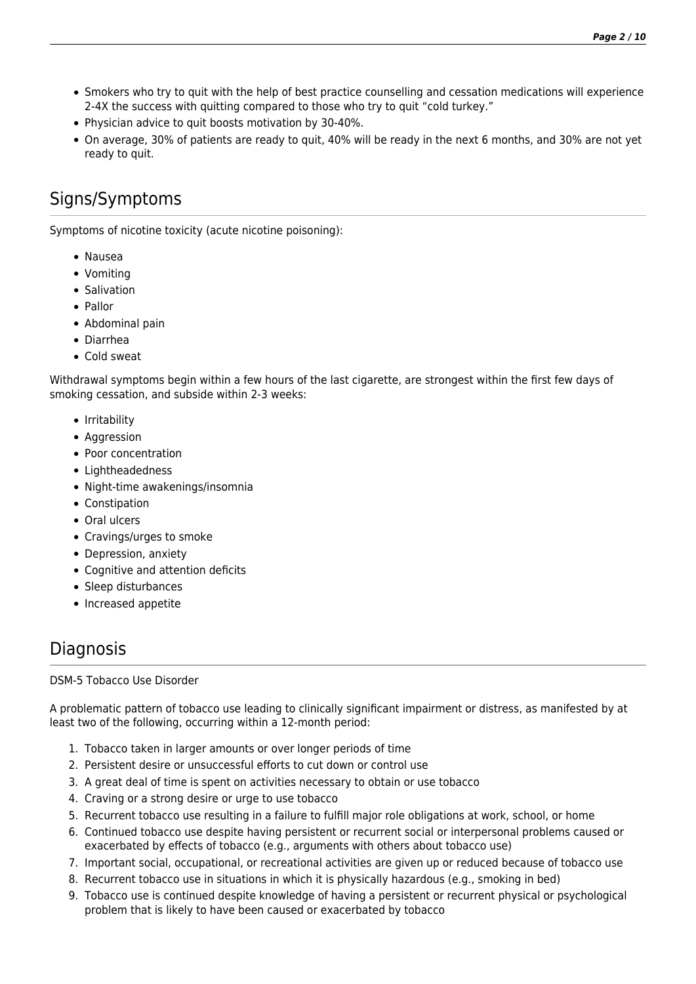- Smokers who try to quit with the help of best practice counselling and cessation medications will experience 2-4X the success with quitting compared to those who try to quit "cold turkey."
- Physician advice to quit boosts motivation by 30-40%.
- On average, 30% of patients are ready to quit, 40% will be ready in the next 6 months, and 30% are not yet ready to quit.

# Signs/Symptoms

Symptoms of nicotine toxicity (acute nicotine poisoning):

- Nausea
- Vomiting
- Salivation
- Pallor
- Abdominal pain
- Diarrhea
- Cold sweat

Withdrawal symptoms begin within a few hours of the last cigarette, are strongest within the first few days of smoking cessation, and subside within 2-3 weeks:

- Irritability
- Aggression
- Poor concentration
- Lightheadedness
- Night-time awakenings/insomnia
- Constipation
- Oral ulcers
- Cravings/urges to smoke
- Depression, anxiety
- Cognitive and attention deficits
- Sleep disturbances
- Increased appetite

# **Diagnosis**

DSM-5 Tobacco Use Disorder

A problematic pattern of tobacco use leading to clinically significant impairment or distress, as manifested by at least two of the following, occurring within a 12-month period:

- 1. Tobacco taken in larger amounts or over longer periods of time
- 2. Persistent desire or unsuccessful efforts to cut down or control use
- 3. A great deal of time is spent on activities necessary to obtain or use tobacco
- 4. Craving or a strong desire or urge to use tobacco
- 5. Recurrent tobacco use resulting in a failure to fulfill major role obligations at work, school, or home
- 6. Continued tobacco use despite having persistent or recurrent social or interpersonal problems caused or exacerbated by effects of tobacco (e.g., arguments with others about tobacco use)
- 7. Important social, occupational, or recreational activities are given up or reduced because of tobacco use
- 8. Recurrent tobacco use in situations in which it is physically hazardous (e.g., smoking in bed)
- 9. Tobacco use is continued despite knowledge of having a persistent or recurrent physical or psychological problem that is likely to have been caused or exacerbated by tobacco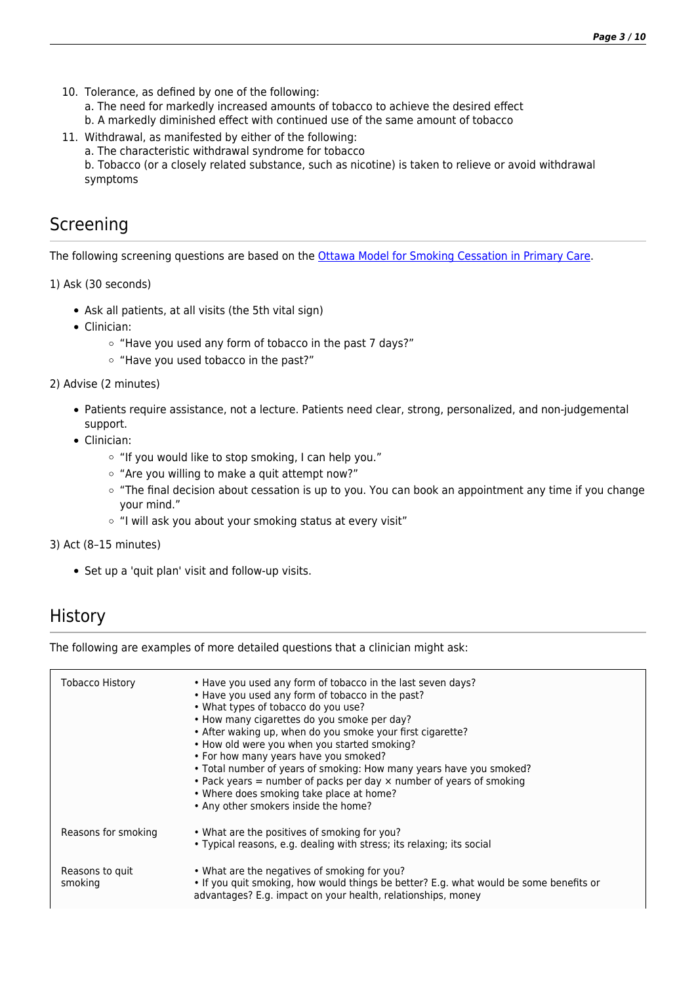- 10. Tolerance, as defined by one of the following:
	- a. The need for markedly increased amounts of tobacco to achieve the desired effect
	- b. A markedly diminished effect with continued use of the same amount of tobacco
- 11. Withdrawal, as manifested by either of the following:
	- a. The characteristic withdrawal syndrome for tobacco

b. Tobacco (or a closely related substance, such as nicotine) is taken to relieve or avoid withdrawal symptoms

# Screening

The following screening questions are based on the [Ottawa Model for Smoking Cessation in Primary Care](http://ottawamodel.ottawaheart.ca/primary-care).

1) Ask (30 seconds)

- Ask all patients, at all visits (the 5th vital sign)
- Clinician:
	- "Have you used any form of tobacco in the past 7 days?"
	- "Have you used tobacco in the past?"

2) Advise (2 minutes)

- Patients require assistance, not a lecture. Patients need clear, strong, personalized, and non-judgemental support.
- Clinician:
	- "If you would like to stop smoking, I can help you."
	- "Are you willing to make a quit attempt now?"
	- $\circ$  "The final decision about cessation is up to you. You can book an appointment any time if you change your mind."
	- $\circ$  "I will ask you about your smoking status at every visit"

### 3) Act (8–15 minutes)

• Set up a 'quit plan' visit and follow-up visits.

### **History**

The following are examples of more detailed questions that a clinician might ask:

| <b>Tobacco History</b>     | • Have you used any form of tobacco in the last seven days?<br>• Have you used any form of tobacco in the past?<br>• What types of tobacco do you use?<br>• How many cigarettes do you smoke per day?<br>• After waking up, when do you smoke your first cigarette?<br>• How old were you when you started smoking?<br>• For how many years have you smoked?<br>• Total number of years of smoking: How many years have you smoked?<br>• Pack years $=$ number of packs per day $\times$ number of years of smoking<br>• Where does smoking take place at home?<br>• Any other smokers inside the home? |
|----------------------------|---------------------------------------------------------------------------------------------------------------------------------------------------------------------------------------------------------------------------------------------------------------------------------------------------------------------------------------------------------------------------------------------------------------------------------------------------------------------------------------------------------------------------------------------------------------------------------------------------------|
| Reasons for smoking        | • What are the positives of smoking for you?<br>• Typical reasons, e.g. dealing with stress; its relaxing; its social                                                                                                                                                                                                                                                                                                                                                                                                                                                                                   |
| Reasons to quit<br>smoking | • What are the negatives of smoking for you?<br>. If you quit smoking, how would things be better? E.g. what would be some benefits or<br>advantages? E.g. impact on your health, relationships, money                                                                                                                                                                                                                                                                                                                                                                                                  |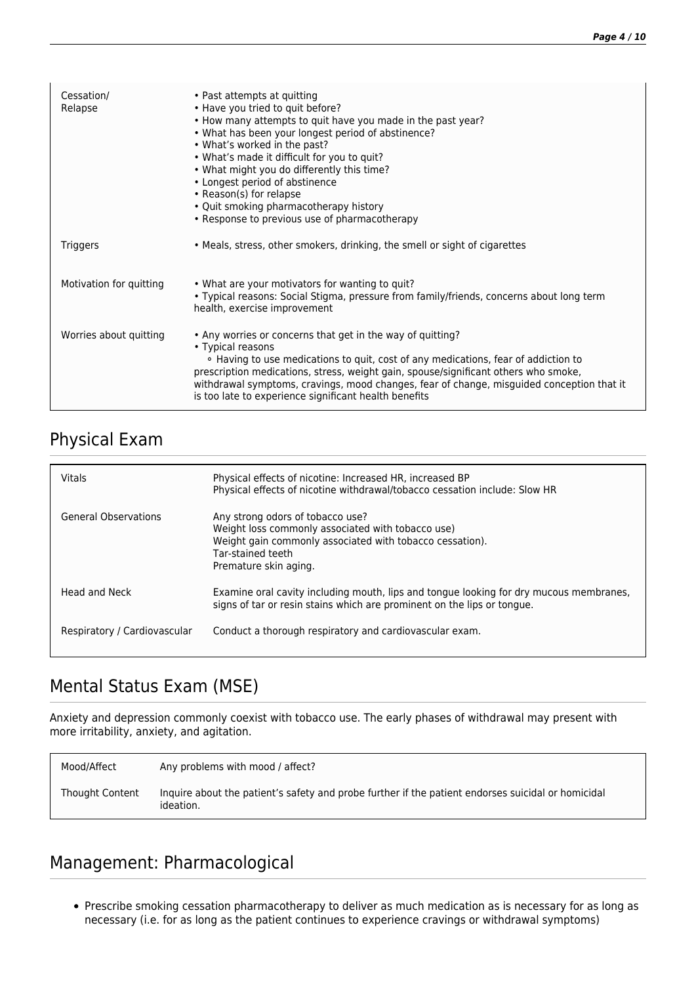| Cessation/<br>Relapse   | • Past attempts at quitting<br>• Have you tried to quit before?<br>• How many attempts to quit have you made in the past year?<br>. What has been your longest period of abstinence?<br>• What's worked in the past?<br>. What's made it difficult for you to quit?<br>. What might you do differently this time?<br>• Longest period of abstinence<br>• Reason(s) for relapse<br>• Quit smoking pharmacotherapy history<br>• Response to previous use of pharmacotherapy |
|-------------------------|---------------------------------------------------------------------------------------------------------------------------------------------------------------------------------------------------------------------------------------------------------------------------------------------------------------------------------------------------------------------------------------------------------------------------------------------------------------------------|
| <b>Triggers</b>         | • Meals, stress, other smokers, drinking, the smell or sight of cigarettes                                                                                                                                                                                                                                                                                                                                                                                                |
| Motivation for quitting | • What are your motivators for wanting to quit?<br>. Typical reasons: Social Stigma, pressure from family/friends, concerns about long term<br>health, exercise improvement                                                                                                                                                                                                                                                                                               |
| Worries about quitting  | • Any worries or concerns that get in the way of quitting?<br>• Typical reasons<br>• Having to use medications to quit, cost of any medications, fear of addiction to<br>prescription medications, stress, weight gain, spouse/significant others who smoke,<br>withdrawal symptoms, cravings, mood changes, fear of change, misguided conception that it<br>is too late to experience significant health benefits                                                        |

# Physical Exam

| Vitals                       | Physical effects of nicotine: Increased HR, increased BP<br>Physical effects of nicotine withdrawal/tobacco cessation include: Slow HR                                                          |
|------------------------------|-------------------------------------------------------------------------------------------------------------------------------------------------------------------------------------------------|
| <b>General Observations</b>  | Any strong odors of tobacco use?<br>Weight loss commonly associated with tobacco use)<br>Weight gain commonly associated with tobacco cessation).<br>Tar-stained teeth<br>Premature skin aging. |
| Head and Neck                | Examine oral cavity including mouth, lips and tongue looking for dry mucous membranes,<br>signs of tar or resin stains which are prominent on the lips or tongue.                               |
| Respiratory / Cardiovascular | Conduct a thorough respiratory and cardiovascular exam.                                                                                                                                         |

# Mental Status Exam (MSE)

Anxiety and depression commonly coexist with tobacco use. The early phases of withdrawal may present with more irritability, anxiety, and agitation.

| Mood/Affect     | Any problems with mood / affect?                                                                                |
|-----------------|-----------------------------------------------------------------------------------------------------------------|
| Thought Content | Inquire about the patient's safety and probe further if the patient endorses suicidal or homicidal<br>ideation. |

# Management: Pharmacological

Prescribe smoking cessation pharmacotherapy to deliver as much medication as is necessary for as long as necessary (i.e. for as long as the patient continues to experience cravings or withdrawal symptoms)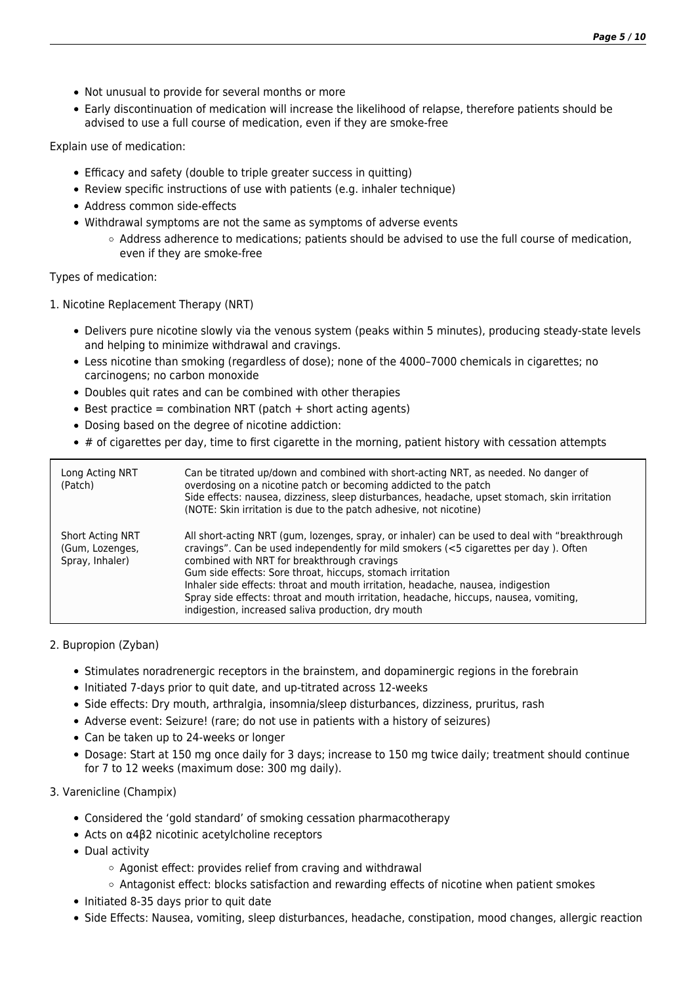- Not unusual to provide for several months or more
- Early discontinuation of medication will increase the likelihood of relapse, therefore patients should be advised to use a full course of medication, even if they are smoke-free

Explain use of medication:

- Efficacy and safety (double to triple greater success in quitting)
- Review specific instructions of use with patients (e.g. inhaler technique)
- Address common side-effects
- Withdrawal symptoms are not the same as symptoms of adverse events
	- $\circ$  Address adherence to medications; patients should be advised to use the full course of medication, even if they are smoke-free

Types of medication:

1. Nicotine Replacement Therapy (NRT)

- Delivers pure nicotine slowly via the venous system (peaks within 5 minutes), producing steady-state levels and helping to minimize withdrawal and cravings.
- Less nicotine than smoking (regardless of dose); none of the 4000–7000 chemicals in cigarettes; no carcinogens; no carbon monoxide
- Doubles quit rates and can be combined with other therapies
- $\bullet$  Best practice = combination NRT (patch + short acting agents)
- Dosing based on the degree of nicotine addiction:
- $*$  # of cigarettes per day, time to first cigarette in the morning, patient history with cessation attempts

| Long Acting NRT<br>(Patch)                                    | Can be titrated up/down and combined with short-acting NRT, as needed. No danger of<br>overdosing on a nicotine patch or becoming addicted to the patch<br>Side effects: nausea, dizziness, sleep disturbances, headache, upset stomach, skin irritation<br>(NOTE: Skin irritation is due to the patch adhesive, not nicotine)                                                                                                                                                                                                          |
|---------------------------------------------------------------|-----------------------------------------------------------------------------------------------------------------------------------------------------------------------------------------------------------------------------------------------------------------------------------------------------------------------------------------------------------------------------------------------------------------------------------------------------------------------------------------------------------------------------------------|
| <b>Short Acting NRT</b><br>(Gum, Lozenges,<br>Spray, Inhaler) | All short-acting NRT (gum, lozenges, spray, or inhaler) can be used to deal with "breakthrough<br>cravings". Can be used independently for mild smokers (<5 cigarettes per day). Often<br>combined with NRT for breakthrough cravings<br>Gum side effects: Sore throat, hiccups, stomach irritation<br>Inhaler side effects: throat and mouth irritation, headache, nausea, indigestion<br>Spray side effects: throat and mouth irritation, headache, hiccups, nausea, vomiting,<br>indigestion, increased saliva production, dry mouth |

### 2. Bupropion (Zyban)

- Stimulates noradrenergic receptors in the brainstem, and dopaminergic regions in the forebrain
- Initiated 7-days prior to quit date, and up-titrated across 12-weeks
- Side effects: Dry mouth, arthralgia, insomnia/sleep disturbances, dizziness, pruritus, rash
- Adverse event: Seizure! (rare; do not use in patients with a history of seizures)
- Can be taken up to 24-weeks or longer
- Dosage: Start at 150 mg once daily for 3 days; increase to 150 mg twice daily; treatment should continue for 7 to 12 weeks (maximum dose: 300 mg daily).

### 3. Varenicline (Champix)

- Considered the 'gold standard' of smoking cessation pharmacotherapy
- Acts on α4β2 nicotinic acetylcholine receptors
- Dual activity
	- Agonist effect: provides relief from craving and withdrawal
	- Antagonist effect: blocks satisfaction and rewarding effects of nicotine when patient smokes
- Initiated 8-35 days prior to quit date
- Side Effects: Nausea, vomiting, sleep disturbances, headache, constipation, mood changes, allergic reaction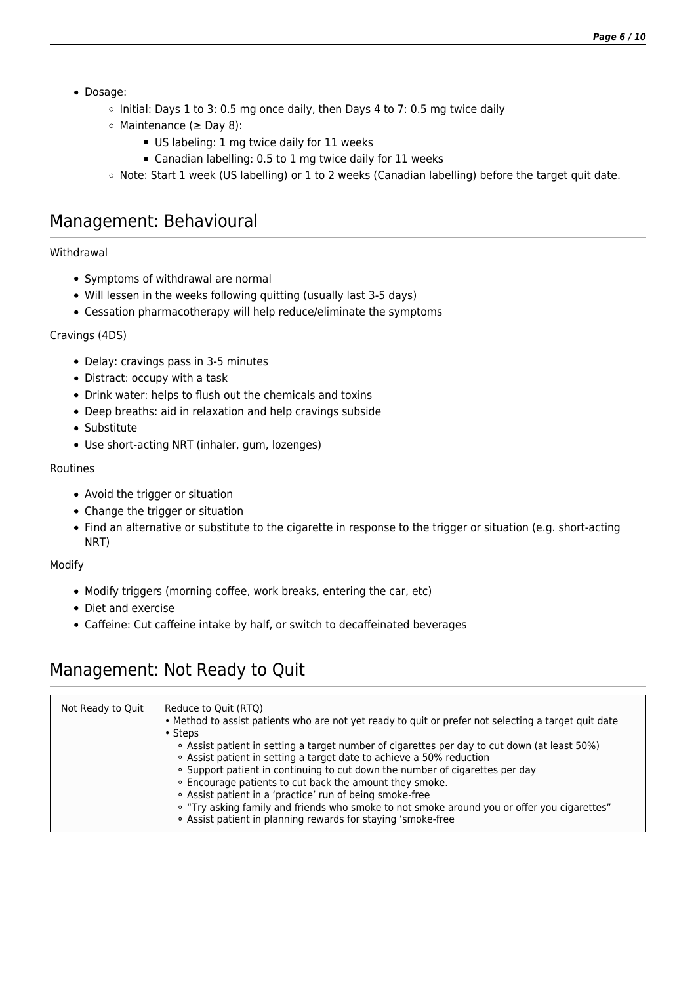- Dosage:
	- $\circ$  Initial: Days 1 to 3: 0.5 mg once daily, then Days 4 to 7: 0.5 mg twice daily
	- Maintenance (≥ Day 8):
		- US labeling: 1 mg twice daily for 11 weeks
		- Canadian labelling: 0.5 to 1 mg twice daily for 11 weeks
	- o Note: Start 1 week (US labelling) or 1 to 2 weeks (Canadian labelling) before the target quit date.

### Management: Behavioural

### Withdrawal

- Symptoms of withdrawal are normal
- Will lessen in the weeks following quitting (usually last 3-5 days)
- Cessation pharmacotherapy will help reduce/eliminate the symptoms

### Cravings (4DS)

- Delay: cravings pass in 3-5 minutes
- Distract: occupy with a task
- Drink water: helps to flush out the chemicals and toxins
- Deep breaths: aid in relaxation and help cravings subside
- Substitute
- Use short-acting NRT (inhaler, gum, lozenges)

### Routines

- Avoid the trigger or situation
- Change the trigger or situation
- Find an alternative or substitute to the cigarette in response to the trigger or situation (e.g. short-acting NRT)

### Modify

- Modify triggers (morning coffee, work breaks, entering the car, etc)
- Diet and exercise
- Caffeine: Cut caffeine intake by half, or switch to decaffeinated beverages

### Management: Not Ready to Quit

| Not Ready to Quit | Reduce to Quit (RTQ)<br>. Method to assist patients who are not yet ready to quit or prefer not selecting a target quit date<br>• Steps<br>• Assist patient in setting a target number of cigarettes per day to cut down (at least 50%)<br>. Assist patient in setting a target date to achieve a 50% reduction<br>. Support patient in continuing to cut down the number of cigarettes per day<br>. Encourage patients to cut back the amount they smoke.<br>. Assist patient in a 'practice' run of being smoke-free<br>• "Try asking family and friends who smoke to not smoke around you or offer you cigarettes"<br>. Assist patient in planning rewards for staying 'smoke-free |
|-------------------|---------------------------------------------------------------------------------------------------------------------------------------------------------------------------------------------------------------------------------------------------------------------------------------------------------------------------------------------------------------------------------------------------------------------------------------------------------------------------------------------------------------------------------------------------------------------------------------------------------------------------------------------------------------------------------------|
|                   |                                                                                                                                                                                                                                                                                                                                                                                                                                                                                                                                                                                                                                                                                       |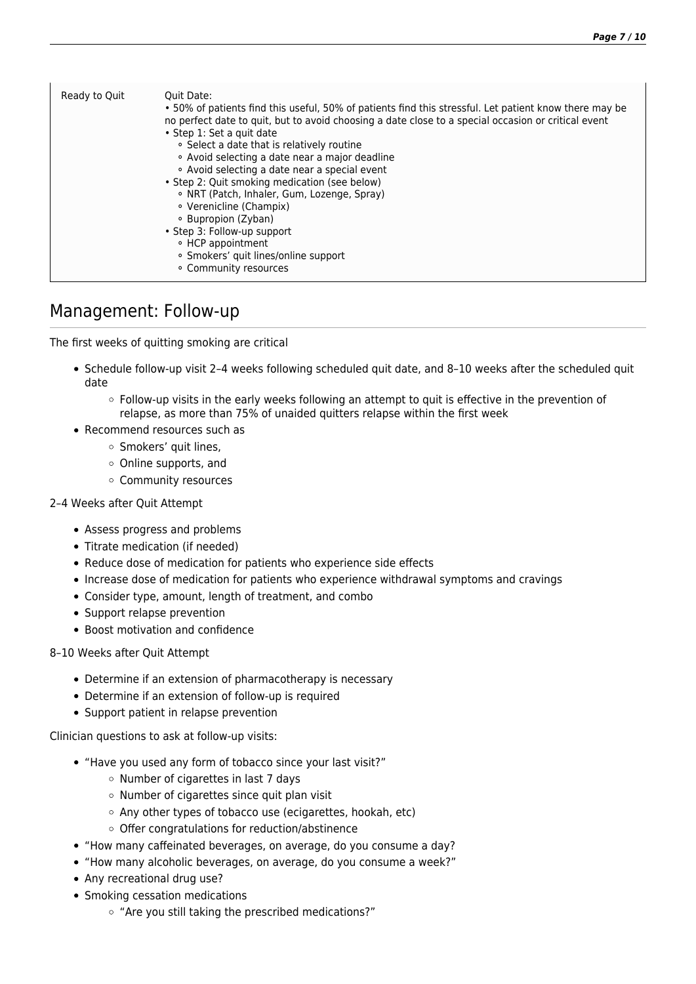| Ready to Quit | Ouit Date:<br>• 50% of patients find this useful, 50% of patients find this stressful. Let patient know there may be<br>no perfect date to quit, but to avoid choosing a date close to a special occasion or critical event<br>· Step 1: Set a quit date<br>• Select a date that is relatively routine<br>• Avoid selecting a date near a major deadline<br>• Avoid selecting a date near a special event<br>• Step 2: Quit smoking medication (see below)<br>. NRT (Patch, Inhaler, Gum, Lozenge, Spray)<br>• Verenicline (Champix)<br>• Bupropion (Zyban)<br>• Step 3: Follow-up support<br>∘ HCP appointment |
|---------------|-----------------------------------------------------------------------------------------------------------------------------------------------------------------------------------------------------------------------------------------------------------------------------------------------------------------------------------------------------------------------------------------------------------------------------------------------------------------------------------------------------------------------------------------------------------------------------------------------------------------|
|               | · Smokers' quit lines/online support<br>• Community resources                                                                                                                                                                                                                                                                                                                                                                                                                                                                                                                                                   |

### Management: Follow-up

The first weeks of quitting smoking are critical

- Schedule follow-up visit 2–4 weeks following scheduled quit date, and 8–10 weeks after the scheduled quit date
	- Follow-up visits in the early weeks following an attempt to quit is effective in the prevention of relapse, as more than 75% of unaided quitters relapse within the first week
- Recommend resources such as
	- o Smokers' quit lines,
	- Online supports, and
	- Community resources

### 2–4 Weeks after Quit Attempt

- Assess progress and problems
- Titrate medication (if needed)
- Reduce dose of medication for patients who experience side effects
- Increase dose of medication for patients who experience withdrawal symptoms and cravings
- Consider type, amount, length of treatment, and combo
- Support relapse prevention
- Boost motivation and confidence

### 8–10 Weeks after Quit Attempt

- Determine if an extension of pharmacotherapy is necessary
- Determine if an extension of follow-up is required
- Support patient in relapse prevention

Clinician questions to ask at follow-up visits:

- "Have you used any form of tobacco since your last visit?"
	- $\circ$  Number of cigarettes in last 7 days
	- $\circ$  Number of cigarettes since quit plan visit
	- Any other types of tobacco use (ecigarettes, hookah, etc)
	- $\circ$  Offer congratulations for reduction/abstinence
- "How many caffeinated beverages, on average, do you consume a day?
- "How many alcoholic beverages, on average, do you consume a week?"
- Any recreational drug use?
- Smoking cessation medications
	- o "Are you still taking the prescribed medications?"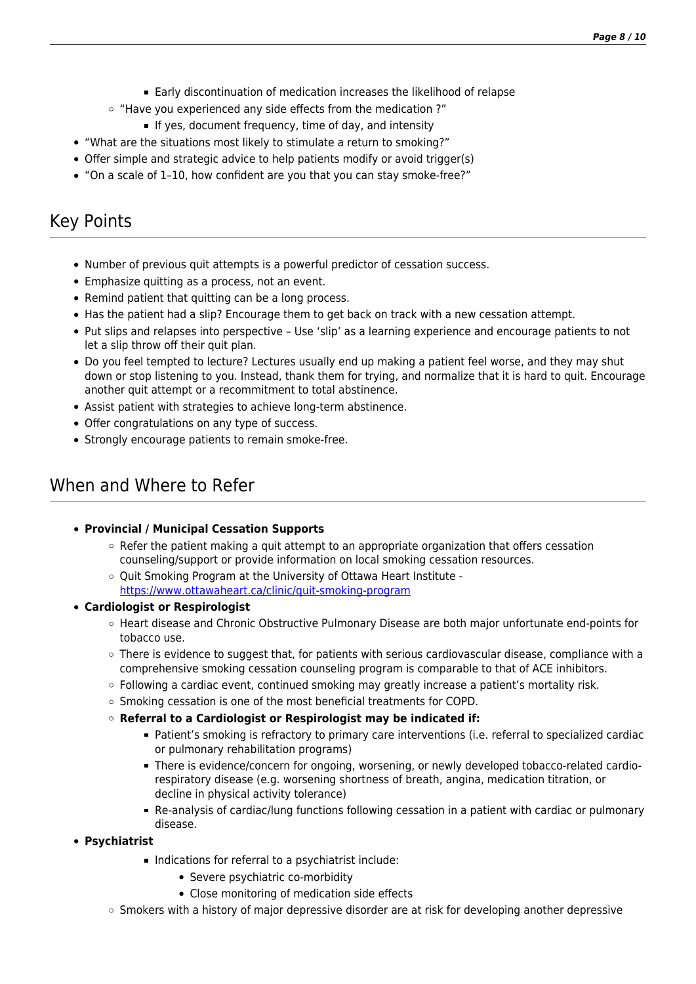- Early discontinuation of medication increases the likelihood of relapse
- "Have you experienced any side effects from the medication ?"
	- If yes, document frequency, time of day, and intensity
- "What are the situations most likely to stimulate a return to smoking?"
- Offer simple and strategic advice to help patients modify or avoid trigger(s)
- "On a scale of 1–10, how confident are you that you can stay smoke-free?"

# Key Points

- Number of previous quit attempts is a powerful predictor of cessation success.
- Emphasize quitting as a process, not an event.
- Remind patient that quitting can be a long process.
- Has the patient had a slip? Encourage them to get back on track with a new cessation attempt.
- Put slips and relapses into perspective Use 'slip' as a learning experience and encourage patients to not let a slip throw off their quit plan.
- Do you feel tempted to lecture? Lectures usually end up making a patient feel worse, and they may shut down or stop listening to you. Instead, thank them for trying, and normalize that it is hard to quit. Encourage another quit attempt or a recommitment to total abstinence.
- Assist patient with strategies to achieve long-term abstinence.
- Offer congratulations on any type of success.
- Strongly encourage patients to remain smoke-free.

## When and Where to Refer

### **Provincial / Municipal Cessation Supports**

- $\circ$  Refer the patient making a quit attempt to an appropriate organization that offers cessation counseling/support or provide information on local smoking cessation resources.
- $\circ$  Ouit Smoking Program at the University of Ottawa Heart Institute <https://www.ottawaheart.ca/clinic/quit-smoking-program>

### **Cardiologist or Respirologist**

- $\circ$  Heart disease and Chronic Obstructive Pulmonary Disease are both major unfortunate end-points for tobacco use.
- $\circ$  There is evidence to suggest that, for patients with serious cardiovascular disease, compliance with a comprehensive smoking cessation counseling program is comparable to that of ACE inhibitors.
- Following a cardiac event, continued smoking may greatly increase a patient's mortality risk.
- $\circ$  Smoking cessation is one of the most beneficial treatments for COPD.
- **Referral to a Cardiologist or Respirologist may be indicated if:**
	- Patient's smoking is refractory to primary care interventions (i.e. referral to specialized cardiac or pulmonary rehabilitation programs)
	- There is evidence/concern for ongoing, worsening, or newly developed tobacco-related cardiorespiratory disease (e.g. worsening shortness of breath, angina, medication titration, or decline in physical activity tolerance)
	- Re-analysis of cardiac/lung functions following cessation in a patient with cardiac or pulmonary disease.
- **Psychiatrist**
	- Indications for referral to a psychiatrist include:
		- Severe psychiatric co-morbidity
		- Close monitoring of medication side effects
	- $\circ$  Smokers with a history of major depressive disorder are at risk for developing another depressive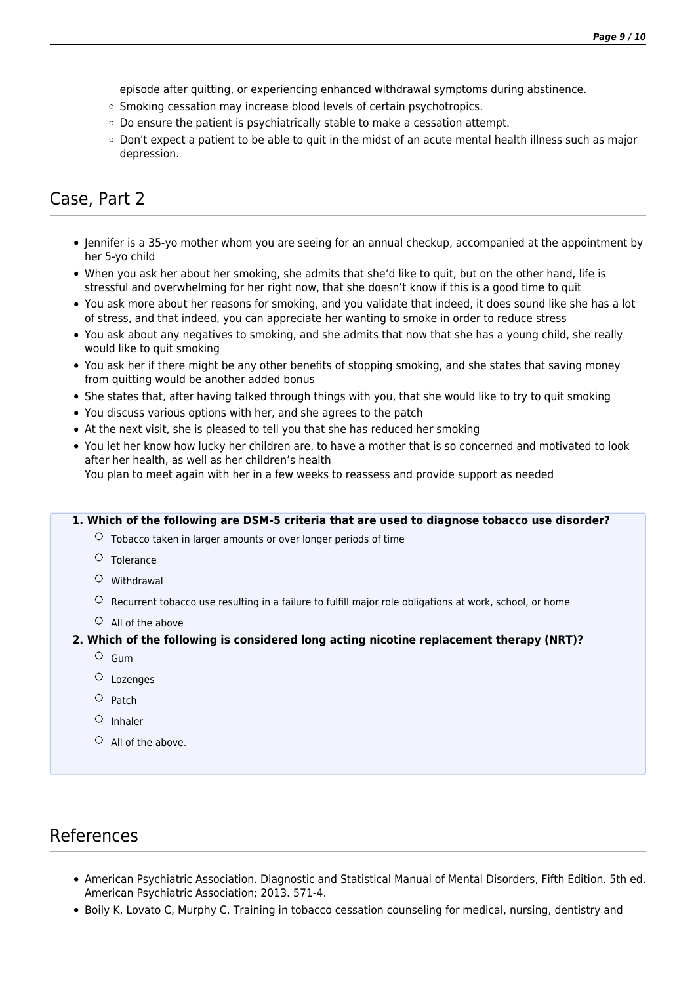episode after quitting, or experiencing enhanced withdrawal symptoms during abstinence.

- o Smoking cessation may increase blood levels of certain psychotropics.
- $\circ$  Do ensure the patient is psychiatrically stable to make a cessation attempt.
- Don't expect a patient to be able to quit in the midst of an acute mental health illness such as major depression.

# Case, Part 2

- Jennifer is a 35-yo mother whom you are seeing for an annual checkup, accompanied at the appointment by her 5-yo child
- When you ask her about her smoking, she admits that she'd like to quit, but on the other hand, life is stressful and overwhelming for her right now, that she doesn't know if this is a good time to quit
- You ask more about her reasons for smoking, and you validate that indeed, it does sound like she has a lot of stress, and that indeed, you can appreciate her wanting to smoke in order to reduce stress
- You ask about any negatives to smoking, and she admits that now that she has a young child, she really would like to quit smoking
- You ask her if there might be any other benefits of stopping smoking, and she states that saving money from quitting would be another added bonus
- She states that, after having talked through things with you, that she would like to try to quit smoking
- You discuss various options with her, and she agrees to the patch
- At the next visit, she is pleased to tell you that she has reduced her smoking
- You let her know how lucky her children are, to have a mother that is so concerned and motivated to look after her health, as well as her children's health You plan to meet again with her in a few weeks to reassess and provide support as needed

#### **1. Which of the following are DSM-5 criteria that are used to diagnose tobacco use disorder?**

- $\circ$  Tobacco taken in larger amounts or over longer periods of time
- $O$  Tolerance
- $O$  Withdrawal
- $\circ$  Recurrent tobacco use resulting in a failure to fulfill major role obligations at work, school, or home
- $\circ$  All of the above

### **2. Which of the following is considered long acting nicotine replacement therapy (NRT)?**

- $O$  Gum
- Lozenges
- $O$  Patch
- $O$  Inhaler
- All of the above.

### References

- American Psychiatric Association. Diagnostic and Statistical Manual of Mental Disorders, Fifth Edition. 5th ed. American Psychiatric Association; 2013. 571-4.
- Boily K, Lovato C, Murphy C. Training in tobacco cessation counseling for medical, nursing, dentistry and